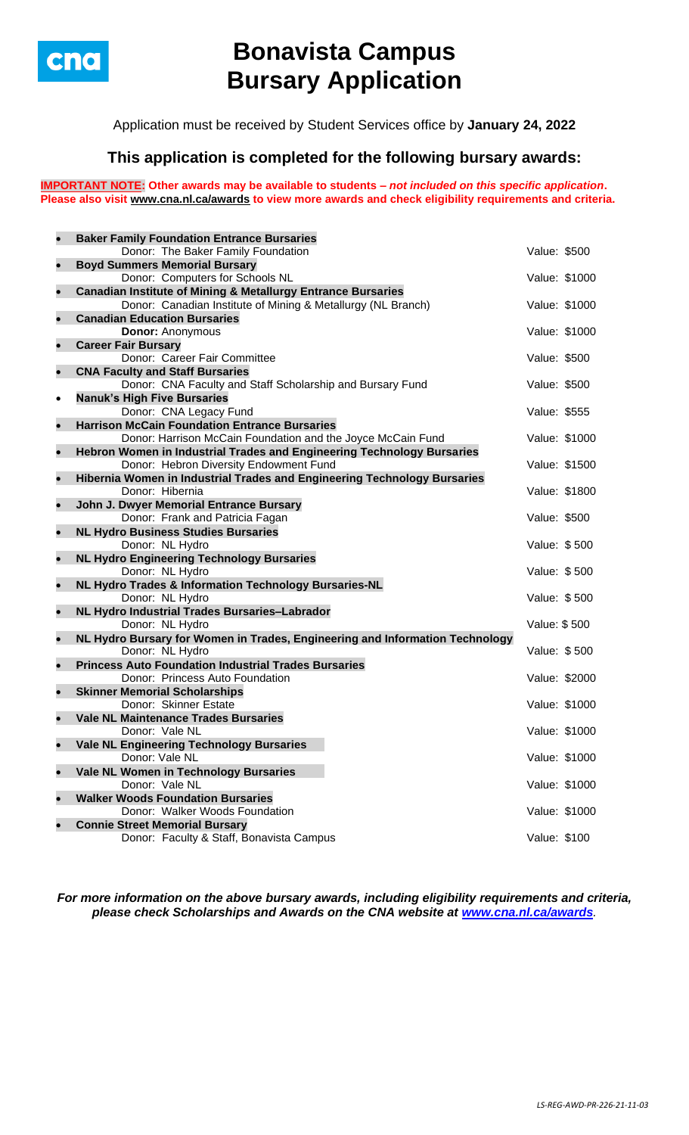

# **Bonavista Campus Bursary Application**

Application must be received by Student Services office by **January 24, 2022**

## **This application is completed for the following bursary awards:**

**IMPORTANT NOTE: Other awards may be available to students –** *not included on this specific application***. Please also visit [www.cna.nl.ca/awards](http://www.cna.nl.ca/awards) to view more awards and check eligibility requirements and criteria.**

| $\bullet$ | <b>Baker Family Foundation Entrance Bursaries</b>                                 |               |  |
|-----------|-----------------------------------------------------------------------------------|---------------|--|
|           | Donor: The Baker Family Foundation                                                | Value: \$500  |  |
| $\bullet$ | <b>Boyd Summers Memorial Bursary</b>                                              |               |  |
|           | Donor: Computers for Schools NL                                                   | Value: \$1000 |  |
| $\bullet$ | <b>Canadian Institute of Mining &amp; Metallurgy Entrance Bursaries</b>           |               |  |
|           | Donor: Canadian Institute of Mining & Metallurgy (NL Branch)                      | Value: \$1000 |  |
| $\bullet$ | <b>Canadian Education Bursaries</b>                                               |               |  |
|           | <b>Donor: Anonymous</b>                                                           | Value: \$1000 |  |
| $\bullet$ | <b>Career Fair Bursary</b>                                                        |               |  |
|           | Donor: Career Fair Committee                                                      | Value: \$500  |  |
| $\bullet$ | <b>CNA Faculty and Staff Bursaries</b>                                            |               |  |
|           | Donor: CNA Faculty and Staff Scholarship and Bursary Fund                         | Value: \$500  |  |
| $\bullet$ | <b>Nanuk's High Five Bursaries</b>                                                |               |  |
|           | Donor: CNA Legacy Fund                                                            | Value: \$555  |  |
| $\bullet$ | <b>Harrison McCain Foundation Entrance Bursaries</b>                              |               |  |
|           | Donor: Harrison McCain Foundation and the Joyce McCain Fund                       | Value: \$1000 |  |
| $\bullet$ | Hebron Women in Industrial Trades and Engineering Technology Bursaries            |               |  |
|           | Donor: Hebron Diversity Endowment Fund                                            | Value: \$1500 |  |
| $\bullet$ | Hibernia Women in Industrial Trades and Engineering Technology Bursaries          |               |  |
|           | Donor: Hibernia                                                                   | Value: \$1800 |  |
| $\bullet$ | John J. Dwyer Memorial Entrance Bursary                                           |               |  |
|           | Donor: Frank and Patricia Fagan                                                   | Value: \$500  |  |
| $\bullet$ | <b>NL Hydro Business Studies Bursaries</b><br>Donor: NL Hydro                     | Value: \$500  |  |
| $\bullet$ | <b>NL Hydro Engineering Technology Bursaries</b>                                  |               |  |
|           | Donor: NL Hydro                                                                   | Value: \$500  |  |
| $\bullet$ | NL Hydro Trades & Information Technology Bursaries-NL                             |               |  |
|           | Donor: NL Hydro                                                                   | Value: \$500  |  |
| $\bullet$ | NL Hydro Industrial Trades Bursaries-Labrador                                     |               |  |
|           | Donor: NL Hydro                                                                   | Value: \$500  |  |
| $\bullet$ | NL Hydro Bursary for Women in Trades, Engineering and Information Technology      |               |  |
|           | Donor: NL Hydro                                                                   | Value: \$500  |  |
| $\bullet$ | <b>Princess Auto Foundation Industrial Trades Bursaries</b>                       |               |  |
|           | Donor: Princess Auto Foundation                                                   | Value: \$2000 |  |
| $\bullet$ | <b>Skinner Memorial Scholarships</b>                                              |               |  |
|           | Donor: Skinner Estate                                                             | Value: \$1000 |  |
|           | <b>Vale NL Maintenance Trades Bursaries</b>                                       |               |  |
|           | Donor: Vale NL                                                                    | Value: \$1000 |  |
| $\bullet$ | <b>Vale NL Engineering Technology Bursaries</b>                                   |               |  |
|           | Donor: Vale NL                                                                    | Value: \$1000 |  |
| $\bullet$ | Vale NL Women in Technology Bursaries                                             |               |  |
|           | Donor: Vale NL                                                                    | Value: \$1000 |  |
| $\bullet$ | <b>Walker Woods Foundation Bursaries</b><br>Donor: Walker Woods Foundation        |               |  |
| $\bullet$ |                                                                                   | Value: \$1000 |  |
|           | <b>Connie Street Memorial Bursary</b><br>Donor: Faculty & Staff, Bonavista Campus |               |  |
|           |                                                                                   | Value: \$100  |  |

*For more information on the above bursary awards, including eligibility requirements and criteria, please check Scholarships and Awards on the CNA website at [www.cna.nl.ca/awards](http://www.cna.nl.ca/awards).*